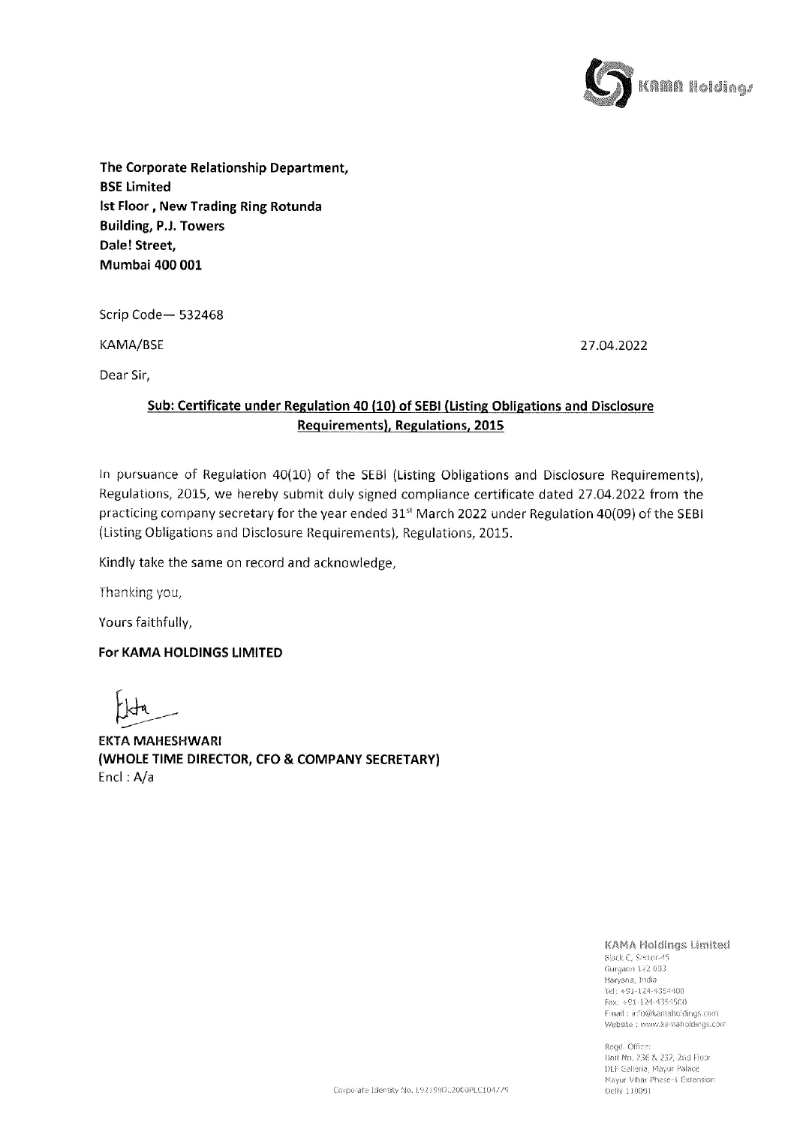

The Corporate Relationship Department, BSE Limited Ist Floor , New Trading Ring Rotunda Building, P.J. Towers Dale! Street, Mumbai 400 001

Scrip Code— 532468

KAMA/BSE 27.04.2022

Dear Sir,

## Sub: Certificate under Regulation 40 (10) of SEBI (Listing Obligations and Disclosure egulation 40 (10)<br>Requirements), F Requirements), Regulations, 2015

In pursuance of Regulation 40(10) of the SEBI (Listing Obligations and Disclosure Requirements), Regulations, 2015, we hereby submit duly signed compliance certificate dated 27.04.2022 from the practicing company secretary for the year ended 31" March 2022 under Regulation 40(09) of the SEBI (Listing Obligations and Disclosure Requirements), Regulations, 2015.

Kindly take the same on record and acknowledge,

Thanking you,

Yours faithfully,

## For KAMA HOLDINGS LIMITED

EKTA MAHESHWARI (WHOLE TIME DIRECTOR, CFO & COMPANY SECRETARY) Encl: A/a

KAMA Holdings Limited

Black C, Sector-45 Gurgaon 122 093<br>Haryana, India<br>Tel: +91-124-4354400<br>Fax: +91-124-4354500<br>Fmail : iefo@kamaholdings.com Website : www.kamaholdings.com

Ma<br>De Regd. Office:<br>Hnit No. 236 & 237, 2nd Floor<br>DLF Galleria, Mayur Palace<br>Mayur Vihar Phase-L Extension<br>Delhi 110091